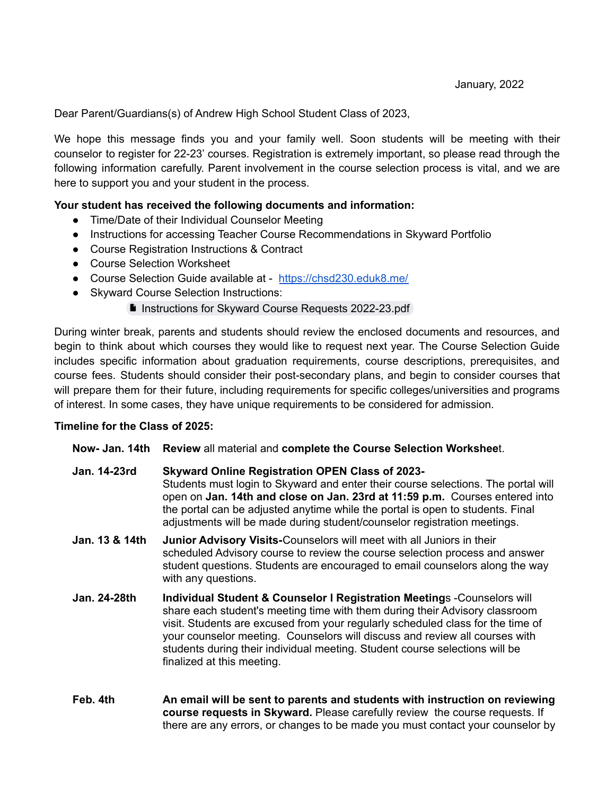Dear Parent/Guardians(s) of Andrew High School Student Class of 2023,

We hope this message finds you and your family well. Soon students will be meeting with their counselor to register for 22-23' courses. Registration is extremely important, so please read through the following information carefully. Parent involvement in the course selection process is vital, and we are here to support you and your student in the process.

## **Your student has received the following documents and information:**

- Time/Date of their Individual Counselor Meeting
- Instructions for accessing Teacher Course Recommendations in Skyward Portfolio
- Course Registration Instructions & Contract
- Course Selection Worksheet
- Course Selection Guide available at <https://chsd230.eduk8.me/>
- Skyward Course Selection Instructions:

## **Instructions for Skyward Course Requests [2022-23.pdf](https://drive.google.com/file/d/1r5XjIPo17XskcJTO8VGvfO-qwIAkt6ZM/view)**

During winter break, parents and students should review the enclosed documents and resources, and begin to think about which courses they would like to request next year. The Course Selection Guide includes specific information about graduation requirements, course descriptions, prerequisites, and course fees. Students should consider their post-secondary plans, and begin to consider courses that will prepare them for their future, including requirements for specific colleges/universities and programs of interest. In some cases, they have unique requirements to be considered for admission.

## **Timeline for the Class of 2025:**

## **Now- Jan. 14th Review** all material and **complete the Course Selection Workshee**t.

- **Jan. 14-23rd Skyward Online Registration OPEN Class of 2023-** Students must login to Skyward and enter their course selections. The portal will open on **Jan. 14th and close on Jan. 23rd at 11:59 p.m.** Courses entered into the portal can be adjusted anytime while the portal is open to students. Final adjustments will be made during student/counselor registration meetings.
- **Jan. 13 & 14th Junior Advisory Visits-**Counselors will meet with all Juniors in their scheduled Advisory course to review the course selection process and answer student questions. Students are encouraged to email counselors along the way with any questions.
- **Jan. 24-28th Individual Student & Counselor l Registration Meeting**s -Counselors will share each student's meeting time with them during their Advisory classroom visit. Students are excused from your regularly scheduled class for the time of your counselor meeting. Counselors will discuss and review all courses with students during their individual meeting. Student course selections will be finalized at this meeting.
- **Feb. 4th An email will be sent to parents and students with instruction on reviewing course requests in Skyward.** Please carefully review the course requests. If there are any errors, or changes to be made you must contact your counselor by